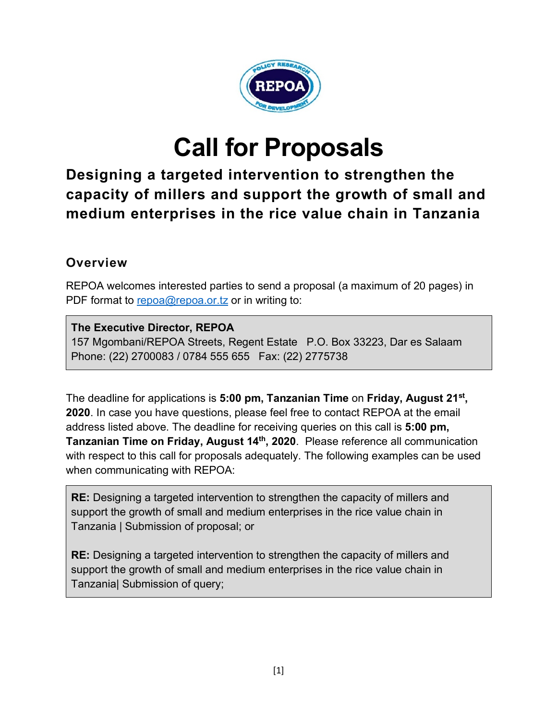

# **Call for Proposals**

**Designing a targeted intervention to strengthen the capacity of millers and support the growth of small and medium enterprises in the rice value chain in Tanzania** 

#### **Overview**

REPOA welcomes interested parties to send a proposal (a maximum of 20 pages) in PDF format to repoa@repoa.or.tz or in writing to:

#### **The Executive Director, REPOA**

157 Mgombani/REPOA Streets, Regent Estate P.O. Box 33223, Dar es Salaam Phone: (22) 2700083 / 0784 555 655 Fax: (22) 2775738

The deadline for applications is **5:00 pm, Tanzanian Time** on **Friday, August 21st, 2020**. In case you have questions, please feel free to contact REPOA at the email address listed above. The deadline for receiving queries on this call is **5:00 pm, Tanzanian Time on Friday, August 14th, 2020**. Please reference all communication with respect to this call for proposals adequately. The following examples can be used when communicating with REPOA:

**RE:** Designing a targeted intervention to strengthen the capacity of millers and support the growth of small and medium enterprises in the rice value chain in Tanzania | Submission of proposal; or

**RE:** Designing a targeted intervention to strengthen the capacity of millers and support the growth of small and medium enterprises in the rice value chain in Tanzania| Submission of query;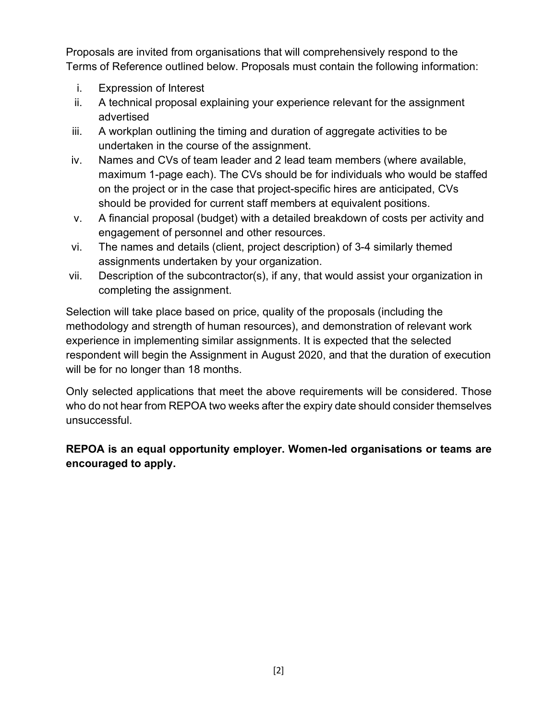Proposals are invited from organisations that will comprehensively respond to the Terms of Reference outlined below. Proposals must contain the following information:

- i. Expression of Interest
- ii. A technical proposal explaining your experience relevant for the assignment advertised
- iii. A workplan outlining the timing and duration of aggregate activities to be undertaken in the course of the assignment.
- iv. Names and CVs of team leader and 2 lead team members (where available, maximum 1-page each). The CVs should be for individuals who would be staffed on the project or in the case that project-specific hires are anticipated, CVs should be provided for current staff members at equivalent positions.
- v. A financial proposal (budget) with a detailed breakdown of costs per activity and engagement of personnel and other resources.
- vi. The names and details (client, project description) of 3-4 similarly themed assignments undertaken by your organization.
- vii. Description of the subcontractor(s), if any, that would assist your organization in completing the assignment.

Selection will take place based on price, quality of the proposals (including the methodology and strength of human resources), and demonstration of relevant work experience in implementing similar assignments. It is expected that the selected respondent will begin the Assignment in August 2020, and that the duration of execution will be for no longer than 18 months.

Only selected applications that meet the above requirements will be considered. Those who do not hear from REPOA two weeks after the expiry date should consider themselves unsuccessful.

#### **REPOA is an equal opportunity employer. Women-led organisations or teams are encouraged to apply.**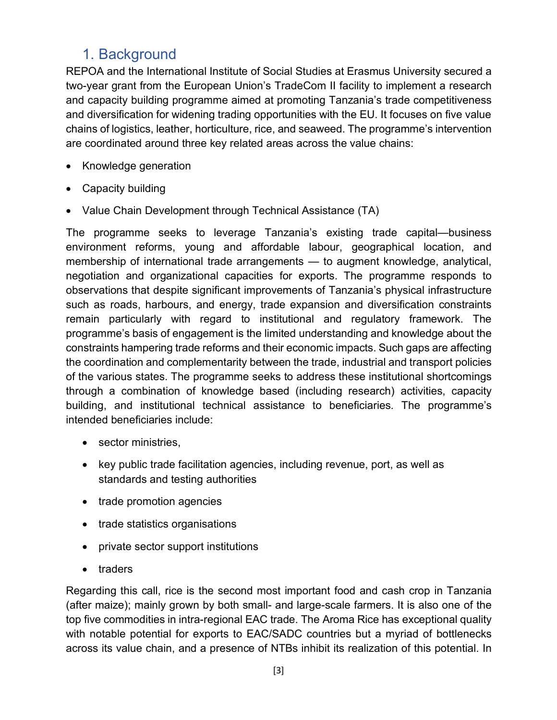## 1. Background

REPOA and the International Institute of Social Studies at Erasmus University secured a two-year grant from the European Union's TradeCom II facility to implement a research and capacity building programme aimed at promoting Tanzania's trade competitiveness and diversification for widening trading opportunities with the EU. It focuses on five value chains of logistics, leather, horticulture, rice, and seaweed. The programme's intervention are coordinated around three key related areas across the value chains:

- Knowledge generation
- Capacity building
- Value Chain Development through Technical Assistance (TA)

The programme seeks to leverage Tanzania's existing trade capital—business environment reforms, young and affordable labour, geographical location, and membership of international trade arrangements — to augment knowledge, analytical, negotiation and organizational capacities for exports. The programme responds to observations that despite significant improvements of Tanzania's physical infrastructure such as roads, harbours, and energy, trade expansion and diversification constraints remain particularly with regard to institutional and regulatory framework. The programme's basis of engagement is the limited understanding and knowledge about the constraints hampering trade reforms and their economic impacts. Such gaps are affecting the coordination and complementarity between the trade, industrial and transport policies of the various states. The programme seeks to address these institutional shortcomings through a combination of knowledge based (including research) activities, capacity building, and institutional technical assistance to beneficiaries. The programme's intended beneficiaries include:

- sector ministries,
- key public trade facilitation agencies, including revenue, port, as well as standards and testing authorities
- trade promotion agencies
- trade statistics organisations
- private sector support institutions
- traders

Regarding this call, rice is the second most important food and cash crop in Tanzania (after maize); mainly grown by both small- and large-scale farmers. It is also one of the top five commodities in intra-regional EAC trade. The Aroma Rice has exceptional quality with notable potential for exports to EAC/SADC countries but a myriad of bottlenecks across its value chain, and a presence of NTBs inhibit its realization of this potential. In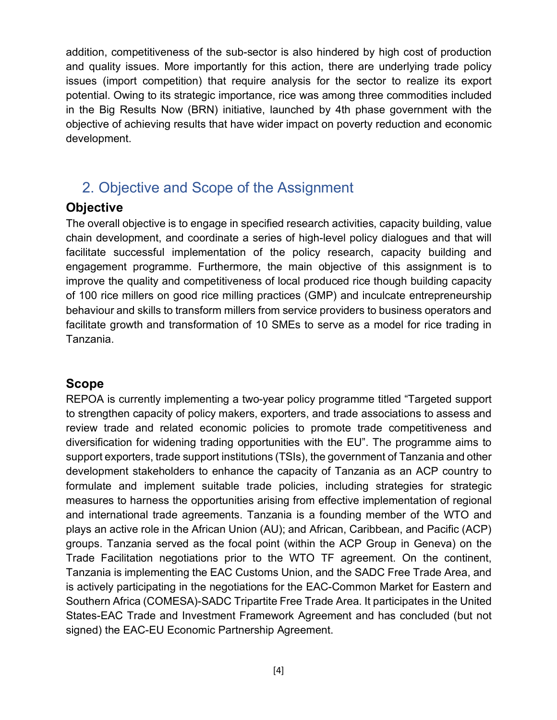addition, competitiveness of the sub-sector is also hindered by high cost of production and quality issues. More importantly for this action, there are underlying trade policy issues (import competition) that require analysis for the sector to realize its export potential. Owing to its strategic importance, rice was among three commodities included in the Big Results Now (BRN) initiative, launched by 4th phase government with the objective of achieving results that have wider impact on poverty reduction and economic development.

## 2. Objective and Scope of the Assignment

#### **Objective**

The overall objective is to engage in specified research activities, capacity building, value chain development, and coordinate a series of high-level policy dialogues and that will facilitate successful implementation of the policy research, capacity building and engagement programme. Furthermore, the main objective of this assignment is to improve the quality and competitiveness of local produced rice though building capacity of 100 rice millers on good rice milling practices (GMP) and inculcate entrepreneurship behaviour and skills to transform millers from service providers to business operators and facilitate growth and transformation of 10 SMEs to serve as a model for rice trading in Tanzania.

#### **Scope**

REPOA is currently implementing a two-year policy programme titled "Targeted support to strengthen capacity of policy makers, exporters, and trade associations to assess and review trade and related economic policies to promote trade competitiveness and diversification for widening trading opportunities with the EU". The programme aims to support exporters, trade support institutions (TSIs), the government of Tanzania and other development stakeholders to enhance the capacity of Tanzania as an ACP country to formulate and implement suitable trade policies, including strategies for strategic measures to harness the opportunities arising from effective implementation of regional and international trade agreements. Tanzania is a founding member of the WTO and plays an active role in the African Union (AU); and African, Caribbean, and Pacific (ACP) groups. Tanzania served as the focal point (within the ACP Group in Geneva) on the Trade Facilitation negotiations prior to the WTO TF agreement. On the continent, Tanzania is implementing the EAC Customs Union, and the SADC Free Trade Area, and is actively participating in the negotiations for the EAC-Common Market for Eastern and Southern Africa (COMESA)-SADC Tripartite Free Trade Area. It participates in the United States-EAC Trade and Investment Framework Agreement and has concluded (but not signed) the EAC-EU Economic Partnership Agreement.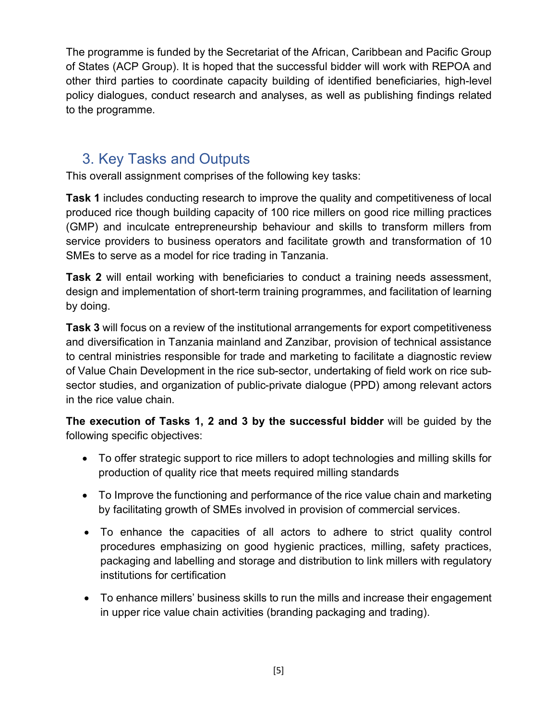The programme is funded by the Secretariat of the African, Caribbean and Pacific Group of States (ACP Group). It is hoped that the successful bidder will work with REPOA and other third parties to coordinate capacity building of identified beneficiaries, high-level policy dialogues, conduct research and analyses, as well as publishing findings related to the programme.

## 3. Key Tasks and Outputs

This overall assignment comprises of the following key tasks:

**Task 1** includes conducting research to improve the quality and competitiveness of local produced rice though building capacity of 100 rice millers on good rice milling practices (GMP) and inculcate entrepreneurship behaviour and skills to transform millers from service providers to business operators and facilitate growth and transformation of 10 SMEs to serve as a model for rice trading in Tanzania.

**Task 2** will entail working with beneficiaries to conduct a training needs assessment, design and implementation of short-term training programmes, and facilitation of learning by doing.

**Task 3** will focus on a review of the institutional arrangements for export competitiveness and diversification in Tanzania mainland and Zanzibar, provision of technical assistance to central ministries responsible for trade and marketing to facilitate a diagnostic review of Value Chain Development in the rice sub-sector, undertaking of field work on rice subsector studies, and organization of public-private dialogue (PPD) among relevant actors in the rice value chain.

**The execution of Tasks 1, 2 and 3 by the successful bidder** will be guided by the following specific objectives:

- To offer strategic support to rice millers to adopt technologies and milling skills for production of quality rice that meets required milling standards
- To Improve the functioning and performance of the rice value chain and marketing by facilitating growth of SMEs involved in provision of commercial services.
- To enhance the capacities of all actors to adhere to strict quality control procedures emphasizing on good hygienic practices, milling, safety practices, packaging and labelling and storage and distribution to link millers with regulatory institutions for certification
- To enhance millers' business skills to run the mills and increase their engagement in upper rice value chain activities (branding packaging and trading).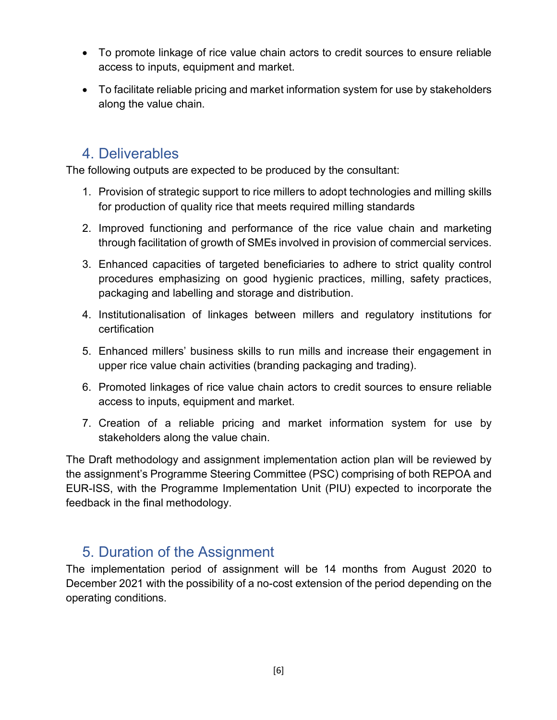- To promote linkage of rice value chain actors to credit sources to ensure reliable access to inputs, equipment and market.
- To facilitate reliable pricing and market information system for use by stakeholders along the value chain.

### 4. Deliverables

The following outputs are expected to be produced by the consultant:

- 1. Provision of strategic support to rice millers to adopt technologies and milling skills for production of quality rice that meets required milling standards
- 2. Improved functioning and performance of the rice value chain and marketing through facilitation of growth of SMEs involved in provision of commercial services.
- 3. Enhanced capacities of targeted beneficiaries to adhere to strict quality control procedures emphasizing on good hygienic practices, milling, safety practices, packaging and labelling and storage and distribution.
- 4. Institutionalisation of linkages between millers and regulatory institutions for certification
- 5. Enhanced millers' business skills to run mills and increase their engagement in upper rice value chain activities (branding packaging and trading).
- 6. Promoted linkages of rice value chain actors to credit sources to ensure reliable access to inputs, equipment and market.
- 7. Creation of a reliable pricing and market information system for use by stakeholders along the value chain.

The Draft methodology and assignment implementation action plan will be reviewed by the assignment's Programme Steering Committee (PSC) comprising of both REPOA and EUR-ISS, with the Programme Implementation Unit (PIU) expected to incorporate the feedback in the final methodology.

## 5. Duration of the Assignment

The implementation period of assignment will be 14 months from August 2020 to December 2021 with the possibility of a no-cost extension of the period depending on the operating conditions.